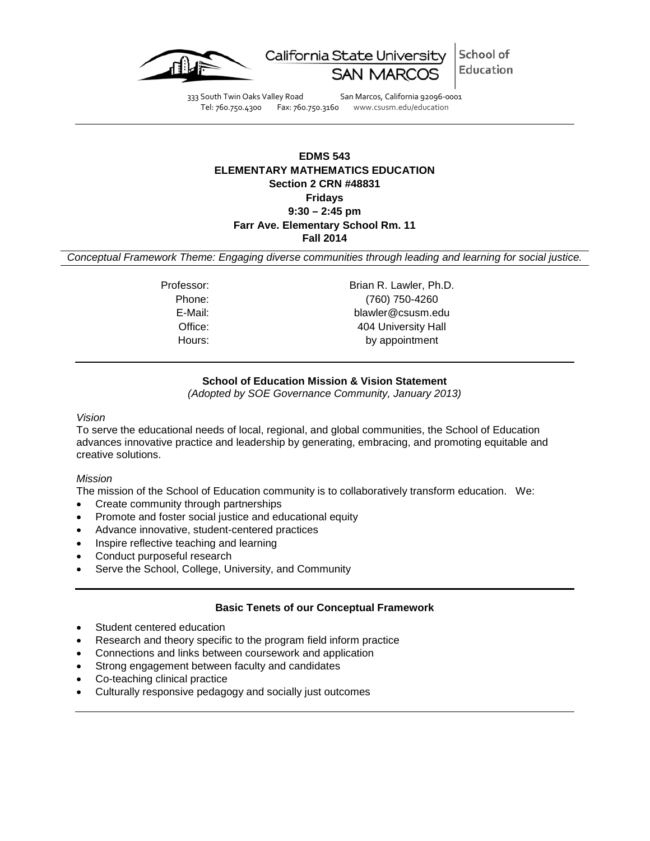

School of California State University Education SAN N

333 South Twin Oaks Valley Road San Marcos, California 92096-0001 Tel: 760.750.4300 Fax: 760.750.3160 www.csusm.edu/education

# **EDMS 543 ELEMENTARY MATHEMATICS EDUCATION Section 2 CRN #48831 Fridays 9:30 – 2:45 pm Farr Ave. Elementary School Rm. 11 Fall 2014**

*Conceptual Framework Theme: Engaging diverse communities through leading and learning for social justice.*

Professor: Brian R. Lawler, Ph.D. Phone: (760) 750-4260 E-Mail: blawler@csusm.edu Office: 404 University Hall Hours: by appointment

# **School of Education Mission & Vision Statement**

*(Adopted by SOE Governance Community, January 2013)*

#### *Vision*

To serve the educational needs of local, regional, and global communities, the School of Education advances innovative practice and leadership by generating, embracing, and promoting equitable and creative solutions.

### *Mission*

The mission of the School of Education community is to collaboratively transform education. We:

- Create community through partnerships
- Promote and foster social justice and educational equity
- Advance innovative, student-centered practices
- Inspire reflective teaching and learning
- Conduct purposeful research
- Serve the School, College, University, and Community

### **Basic Tenets of our Conceptual Framework**

- Student centered education
- Research and theory specific to the program field inform practice
- Connections and links between coursework and application
- Strong engagement between faculty and candidates
- Co-teaching clinical practice
- Culturally responsive pedagogy and socially just outcomes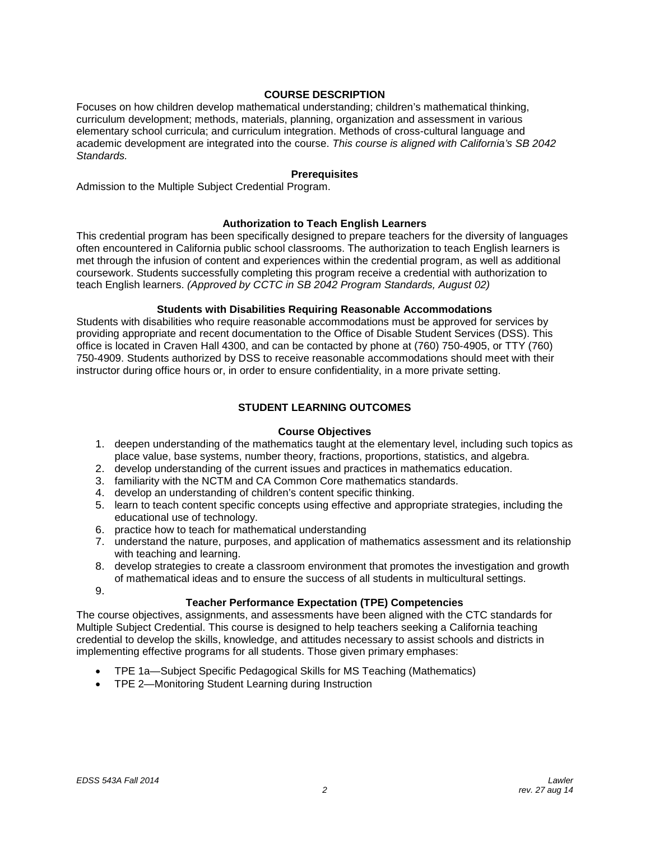# **COURSE DESCRIPTION**

Focuses on how children develop mathematical understanding; children's mathematical thinking, curriculum development; methods, materials, planning, organization and assessment in various elementary school curricula; and curriculum integration. Methods of cross-cultural language and academic development are integrated into the course. *This course is aligned with California's SB 2042 Standards.*

# **Prerequisites**

Admission to the Multiple Subject Credential Program.

#### **Authorization to Teach English Learners**

This credential program has been specifically designed to prepare teachers for the diversity of languages often encountered in California public school classrooms. The authorization to teach English learners is met through the infusion of content and experiences within the credential program, as well as additional coursework. Students successfully completing this program receive a credential with authorization to teach English learners. *(Approved by CCTC in SB 2042 Program Standards, August 02)*

# **Students with Disabilities Requiring Reasonable Accommodations**

Students with disabilities who require reasonable accommodations must be approved for services by providing appropriate and recent documentation to the Office of Disable Student Services (DSS). This office is located in Craven Hall 4300, and can be contacted by phone at (760) 750-4905, or TTY (760) 750-4909. Students authorized by DSS to receive reasonable accommodations should meet with their instructor during office hours or, in order to ensure confidentiality, in a more private setting.

#### **STUDENT LEARNING OUTCOMES**

### **Course Objectives**

- 1. deepen understanding of the mathematics taught at the elementary level, including such topics as place value, base systems, number theory, fractions, proportions, statistics, and algebra.
- 2. develop understanding of the current issues and practices in mathematics education.
- 3. familiarity with the NCTM and CA Common Core mathematics standards.
- 4. develop an understanding of children's content specific thinking.
- 5. learn to teach content specific concepts using effective and appropriate strategies, including the educational use of technology.
- 6. practice how to teach for mathematical understanding
- 7. understand the nature, purposes, and application of mathematics assessment and its relationship with teaching and learning.
- 8. develop strategies to create a classroom environment that promotes the investigation and growth of mathematical ideas and to ensure the success of all students in multicultural settings.
- 9.

# **Teacher Performance Expectation (TPE) Competencies**

The course objectives, assignments, and assessments have been aligned with the CTC standards for Multiple Subject Credential. This course is designed to help teachers seeking a California teaching credential to develop the skills, knowledge, and attitudes necessary to assist schools and districts in implementing effective programs for all students. Those given primary emphases:

- TPE 1a—Subject Specific Pedagogical Skills for MS Teaching (Mathematics)
- TPE 2—Monitoring Student Learning during Instruction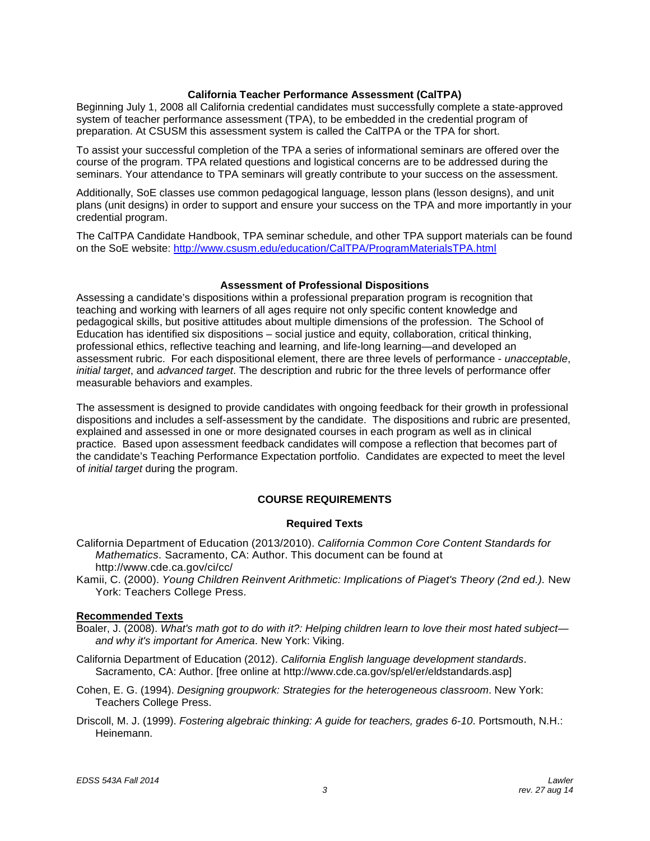### **California Teacher Performance Assessment (CalTPA)**

Beginning July 1, 2008 all California credential candidates must successfully complete a state-approved system of teacher performance assessment (TPA), to be embedded in the credential program of preparation. At CSUSM this assessment system is called the CalTPA or the TPA for short.

To assist your successful completion of the TPA a series of informational seminars are offered over the course of the program. TPA related questions and logistical concerns are to be addressed during the seminars. Your attendance to TPA seminars will greatly contribute to your success on the assessment.

Additionally, SoE classes use common pedagogical language, lesson plans (lesson designs), and unit plans (unit designs) in order to support and ensure your success on the TPA and more importantly in your credential program.

The CalTPA Candidate Handbook, TPA seminar schedule, and other TPA support materials can be found on the SoE website:<http://www.csusm.edu/education/CalTPA/ProgramMaterialsTPA.html>

#### **Assessment of Professional Dispositions**

Assessing a candidate's dispositions within a professional preparation program is recognition that teaching and working with learners of all ages require not only specific content knowledge and pedagogical skills, but positive attitudes about multiple dimensions of the profession. The School of Education has identified six dispositions – social justice and equity, collaboration, critical thinking, professional ethics, reflective teaching and learning, and life-long learning—and developed an assessment rubric. For each dispositional element, there are three levels of performance - *unacceptable*, *initial target*, and *advanced target*. The description and rubric for the three levels of performance offer measurable behaviors and examples.

The assessment is designed to provide candidates with ongoing feedback for their growth in professional dispositions and includes a self-assessment by the candidate. The dispositions and rubric are presented, explained and assessed in one or more designated courses in each program as well as in clinical practice. Based upon assessment feedback candidates will compose a reflection that becomes part of the candidate's Teaching Performance Expectation portfolio. Candidates are expected to meet the level of *initial target* during the program.

### **COURSE REQUIREMENTS**

### **Required Texts**

California Department of Education (2013/2010). *California Common Core Content Standards for Mathematics*. Sacramento, CA: Author. This document can be found at <http://www.cde.ca.gov/ci/cc/>

Kamii, C. (2000). *Young Children Reinvent Arithmetic: Implications of Piaget's Theory (2nd ed.).* New York: Teachers College Press.

### **Recommended Texts**

Boaler, J. (2008). *What's math got to do with it?: Helping children learn to love their most hated subject and why it's important for America*. New York: Viking.

California Department of Education (2012). *California English language development standards*. Sacramento, CA: Author. [free online at http://www.cde.ca.gov/sp/el/er/eldstandards.asp]

Cohen, E. G. (1994). *Designing groupwork: Strategies for the heterogeneous classroom*. New York: Teachers College Press.

Driscoll, M. J. (1999). *Fostering algebraic thinking: A guide for teachers, grades 6-10*. Portsmouth, N.H.: Heinemann.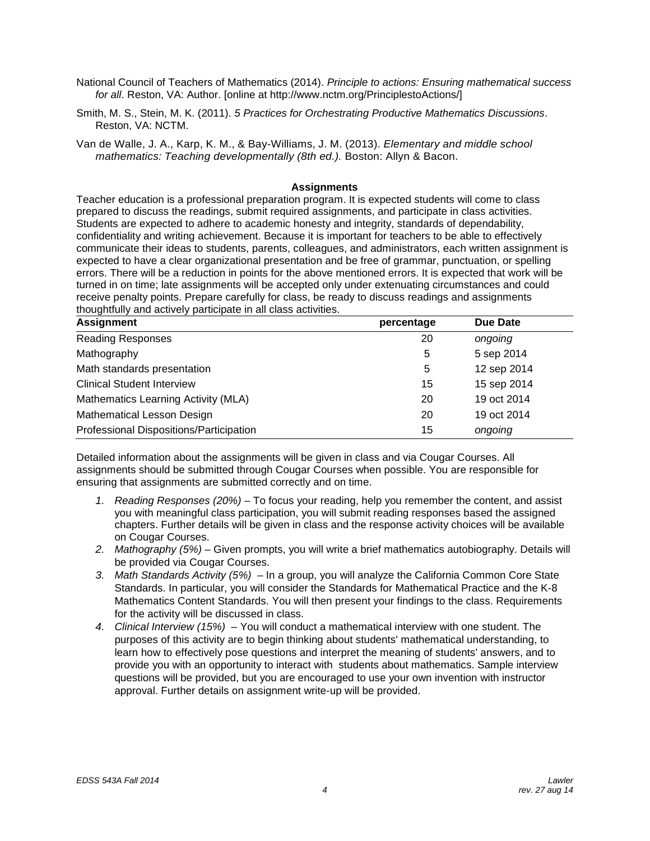- National Council of Teachers of Mathematics (2014). *Principle to actions: Ensuring mathematical success for all*. Reston, VA: Author. [online at http://www.nctm.org/PrinciplestoActions/]
- Smith, M. S., Stein, M. K. (2011). *5 Practices for Orchestrating Productive Mathematics Discussions*. Reston, VA: NCTM.
- Van de Walle, J. A., Karp, K. M., & Bay-Williams, J. M. (2013). *Elementary and middle school mathematics: Teaching developmentally (8th ed.).* Boston: Allyn & Bacon.

### **Assignments**

Teacher education is a professional preparation program. It is expected students will come to class prepared to discuss the readings, submit required assignments, and participate in class activities. Students are expected to adhere to academic honesty and integrity, standards of dependability, confidentiality and writing achievement. Because it is important for teachers to be able to effectively communicate their ideas to students, parents, colleagues, and administrators, each written assignment is expected to have a clear organizational presentation and be free of grammar, punctuation, or spelling errors. There will be a reduction in points for the above mentioned errors. It is expected that work will be turned in on time; late assignments will be accepted only under extenuating circumstances and could receive penalty points. Prepare carefully for class, be ready to discuss readings and assignments thoughtfully and actively participate in all class activities.

| <b>Assignment</b>                       | percentage | Due Date    |
|-----------------------------------------|------------|-------------|
| <b>Reading Responses</b>                | 20         | ongoing     |
| Mathography                             | 5          | 5 sep 2014  |
| Math standards presentation             | 5          | 12 sep 2014 |
| <b>Clinical Student Interview</b>       | 15         | 15 sep 2014 |
| Mathematics Learning Activity (MLA)     | 20         | 19 oct 2014 |
| <b>Mathematical Lesson Design</b>       | 20         | 19 oct 2014 |
| Professional Dispositions/Participation | 15         | ongoing     |

Detailed information about the assignments will be given in class and via Cougar Courses. All assignments should be submitted through Cougar Courses when possible. You are responsible for ensuring that assignments are submitted correctly and on time.

- *1. Reading Responses (20%) –* To focus your reading, help you remember the content, and assist you with meaningful class participation, you will submit reading responses based the assigned chapters. Further details will be given in class and the response activity choices will be available on Cougar Courses.
- *2. Mathography (5%) –* Given prompts, you will write a brief mathematics autobiography. Details will be provided via Cougar Courses.
- *3. Math Standards Activity (5%) –* In a group, you will analyze the California Common Core State Standards. In particular, you will consider the Standards for Mathematical Practice and the K-8 Mathematics Content Standards. You will then present your findings to the class. Requirements for the activity will be discussed in class.
- *4. Clinical Interview (15%) –* You will conduct a mathematical interview with one student. The purposes of this activity are to begin thinking about students' mathematical understanding, to learn how to effectively pose questions and interpret the meaning of students' answers, and to provide you with an opportunity to interact with students about mathematics. Sample interview questions will be provided, but you are encouraged to use your own invention with instructor approval. Further details on assignment write-up will be provided.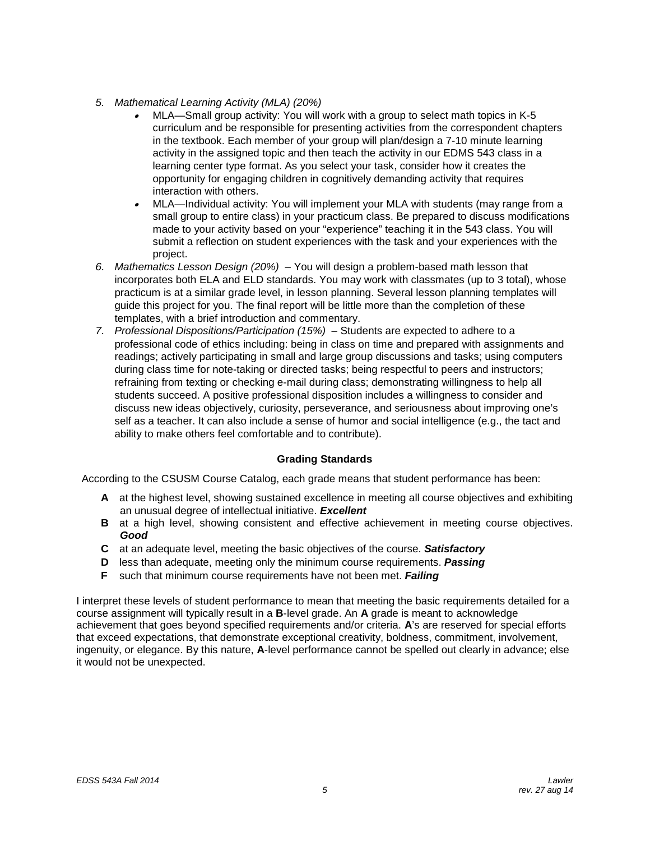- *5. Mathematical Learning Activity (MLA) (20%)*
	- • MLA—Small group activity: You will work with a group to select math topics in K-5 curriculum and be responsible for presenting activities from the correspondent chapters in the textbook. Each member of your group will plan/design a 7-10 minute learning activity in the assigned topic and then teach the activity in our EDMS 543 class in a learning center type format. As you select your task, consider how it creates the opportunity for engaging children in cognitively demanding activity that requires interaction with others.
	- • MLA—Individual activity: You will implement your MLA with students (may range from a small group to entire class) in your practicum class. Be prepared to discuss modifications made to your activity based on your "experience" teaching it in the 543 class. You will submit a reflection on student experiences with the task and your experiences with the project.
- *6. Mathematics Lesson Design (20%) –* You will design a problem-based math lesson that incorporates both ELA and ELD standards. You may work with classmates (up to 3 total), whose practicum is at a similar grade level, in lesson planning. Several lesson planning templates will guide this project for you. The final report will be little more than the completion of these templates, with a brief introduction and commentary.
- *7. Professional Dispositions/Participation (15%) –* Students are expected to adhere to a professional code of ethics including: being in class on time and prepared with assignments and readings; actively participating in small and large group discussions and tasks; using computers during class time for note-taking or directed tasks; being respectful to peers and instructors; refraining from texting or checking e-mail during class; demonstrating willingness to help all students succeed. A positive professional disposition includes a willingness to consider and discuss new ideas objectively, curiosity, perseverance, and seriousness about improving one's self as a teacher. It can also include a sense of humor and social intelligence (e.g., the tact and ability to make others feel comfortable and to contribute).

# **Grading Standards**

According to the CSUSM Course Catalog, each grade means that student performance has been:

- **A** at the highest level, showing sustained excellence in meeting all course objectives and exhibiting an unusual degree of intellectual initiative. *Excellent*
- **B** at a high level, showing consistent and effective achievement in meeting course objectives. *Good*
- **C** at an adequate level, meeting the basic objectives of the course. *Satisfactory*
- **D** less than adequate, meeting only the minimum course requirements. *Passing*
- **F** such that minimum course requirements have not been met. *Failing*

I interpret these levels of student performance to mean that meeting the basic requirements detailed for a course assignment will typically result in a **B**-level grade. An **A** grade is meant to acknowledge achievement that goes beyond specified requirements and/or criteria. **A**'s are reserved for special efforts that exceed expectations, that demonstrate exceptional creativity, boldness, commitment, involvement, ingenuity, or elegance. By this nature, **A**-level performance cannot be spelled out clearly in advance; else it would not be unexpected.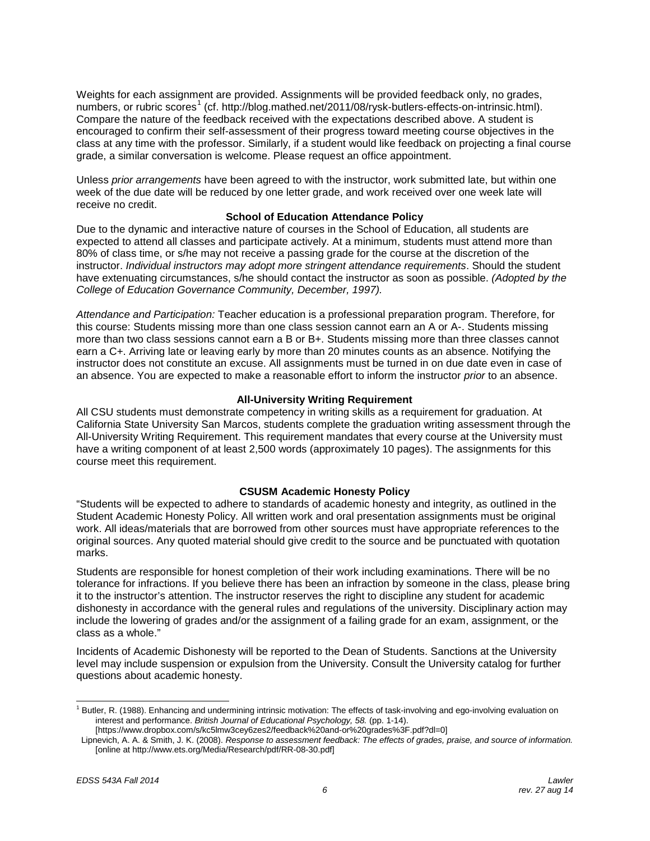Weights for each assignment are provided. Assignments will be provided feedback only, no grades, numbers, or rubric scores<sup>[1](#page-5-0)</sup> (cf. http://blog.mathed.net/2011/08/rysk-butlers-effects-on-intrinsic.html). Compare the nature of the feedback received with the expectations described above. A student is encouraged to confirm their self-assessment of their progress toward meeting course objectives in the class at any time with the professor. Similarly, if a student would like feedback on projecting a final course grade, a similar conversation is welcome. Please request an office appointment.

Unless *prior arrangements* have been agreed to with the instructor, work submitted late, but within one week of the due date will be reduced by one letter grade, and work received over one week late will receive no credit.

# **School of Education Attendance Policy**

Due to the dynamic and interactive nature of courses in the School of Education, all students are expected to attend all classes and participate actively. At a minimum, students must attend more than 80% of class time, or s/he may not receive a passing grade for the course at the discretion of the instructor. *Individual instructors may adopt more stringent attendance requirements*. Should the student have extenuating circumstances, s/he should contact the instructor as soon as possible. *(Adopted by the College of Education Governance Community, December, 1997).*

*Attendance and Participation:* Teacher education is a professional preparation program. Therefore, for this course: Students missing more than one class session cannot earn an A or A-. Students missing more than two class sessions cannot earn a B or B+. Students missing more than three classes cannot earn a C+. Arriving late or leaving early by more than 20 minutes counts as an absence. Notifying the instructor does not constitute an excuse. All assignments must be turned in on due date even in case of an absence. You are expected to make a reasonable effort to inform the instructor *prior* to an absence.

# **All-University Writing Requirement**

All CSU students must demonstrate competency in writing skills as a requirement for graduation. At California State University San Marcos, students complete the graduation writing assessment through the All-University Writing Requirement. This requirement mandates that every course at the University must have a writing component of at least 2,500 words (approximately 10 pages). The assignments for this course meet this requirement.

# **CSUSM Academic Honesty Policy**

"Students will be expected to adhere to standards of academic honesty and integrity, as outlined in the Student Academic Honesty Policy. All written work and oral presentation assignments must be original work. All ideas/materials that are borrowed from other sources must have appropriate references to the original sources. Any quoted material should give credit to the source and be punctuated with quotation marks.

Students are responsible for honest completion of their work including examinations. There will be no tolerance for infractions. If you believe there has been an infraction by someone in the class, please bring it to the instructor's attention. The instructor reserves the right to discipline any student for academic dishonesty in accordance with the general rules and regulations of the university. Disciplinary action may include the lowering of grades and/or the assignment of a failing grade for an exam, assignment, or the class as a whole."

Incidents of Academic Dishonesty will be reported to the Dean of Students. Sanctions at the University level may include suspension or expulsion from the University. Consult the University catalog for further questions about academic honesty.

<span id="page-5-0"></span><sup>&</sup>lt;sup>1</sup> Butler, R. (1988). Enhancing and undermining intrinsic motivation: The effects of task-involving and ego-involving evaluation on interest and performance. *British Journal of Educational Psychology, 58.* (pp. 1-14).

<sup>[</sup>https://www.dropbox.com/s/kc5lmw3cey6zes2/feedback%20and-or%20grades%3F.pdf?dl=0]

Lipnevich, A. A. & Smith, J. K. (2008). *Response to assessment feedback: The effects of grades, praise, and source of information.* [online at http://www.ets.org/Media/Research/pdf/RR-08-30.pdf]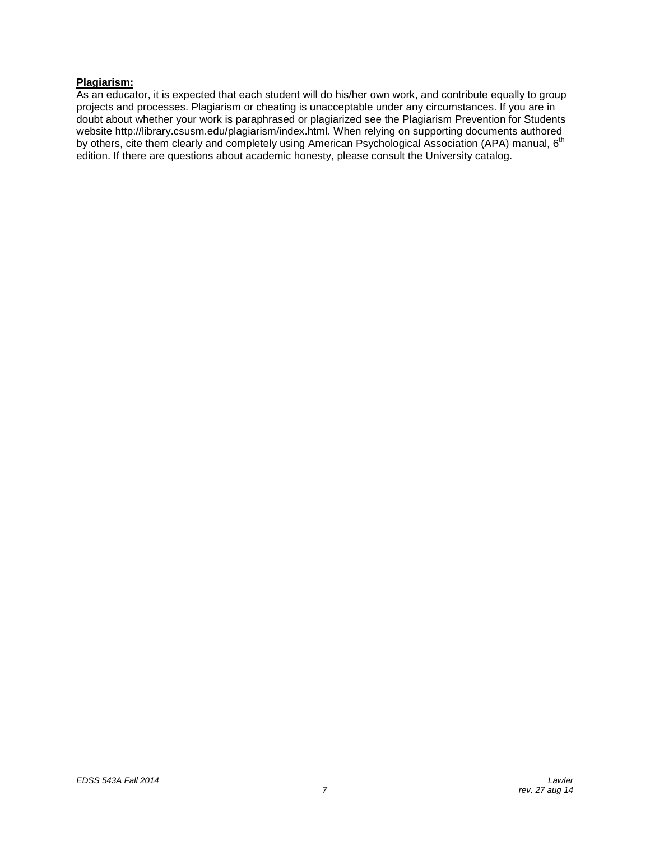# **Plagiarism:**

As an educator, it is expected that each student will do his/her own work, and contribute equally to group projects and processes. Plagiarism or cheating is unacceptable under any circumstances. If you are in doubt about whether your work is paraphrased or plagiarized see the Plagiarism Prevention for Students website http://library.csusm.edu/plagiarism/index.html. When relying on supporting documents authored by others, cite them clearly and completely using American Psychological Association (APA) manual, 6<sup>th</sup> edition. If there are questions about academic honesty, please consult the University catalog.